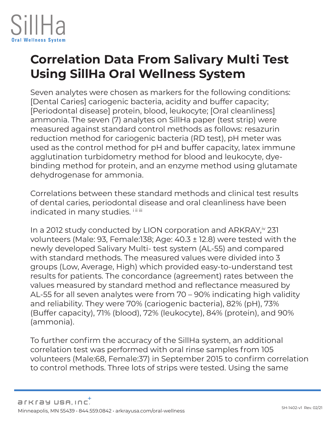## **Correlation Data From Salivary Multi Test Using SillHa Oral Wellness System**

Seven analytes were chosen as markers for the following conditions: [Dental Caries] cariogenic bacteria, acidity and buffer capacity; [Periodontal disease] protein, blood, leukocyte; [Oral cleanliness] ammonia. The seven (7) analytes on SillHa paper (test strip) were measured against standard control methods as follows: resazurin reduction method for cariogenic bacteria (RD test), pH meter was used as the control method for pH and buffer capacity, latex immune agglutination turbidometry method for blood and leukocyte, dyebinding method for protein, and an enzyme method using glutamate dehydrogenase for ammonia.

Correlations between these standard methods and clinical test results of dental caries, periodontal disease and oral cleanliness have been indicated in many studies. *iii iii* 

In a 2012 study conducted by LION corporation and  $ARKRAY$ ,<sup> $\alpha$ </sup> 231 volunteers (Male: 93, Female:138; Age: 40.3 ± 12.8) were tested with the newly developed Salivary Multi- test system (AL-55) and compared with standard methods. The measured values were divided into 3 groups (Low, Average, High) which provided easy-to-understand test results for patients. The concordance (agreement) rates between the values measured by standard method and reflectance measured by AL-55 for all seven analytes were from 70 – 90% indicating high validity and reliability. They were 70% (cariogenic bacteria), 82% (pH), 73% (Buffer capacity), 71% (blood), 72% (leukocyte), 84% (protein), and 90% (ammonia).

To further confirm the accuracy of the SillHa system, an additional correlation test was performed with oral rinse samples from 105 volunteers (Male:68, Female:37) in September 2015 to confirm correlation to control methods. Three lots of strips were tested. Using the same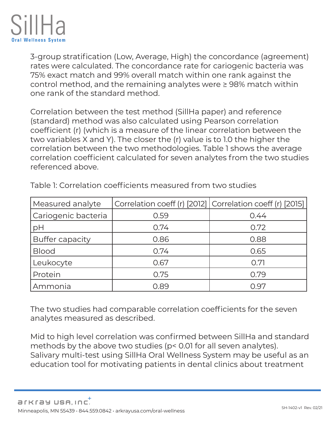

3-group stratification (Low, Average, High) the concordance (agreement) rates were calculated. The concordance rate for cariogenic bacteria was 75% exact match and 99% overall match within one rank against the control method, and the remaining analytes were ≥ 98% match within one rank of the standard method.

Correlation between the test method (SillHa paper) and reference (standard) method was also calculated using Pearson correlation coefficient (r) (which is a measure of the linear correlation between the two variables X and Y). The closer the (r) value is to 1.0 the higher the correlation between the two methodologies. Table 1 shows the average correlation coefficient calculated for seven analytes from the two studies referenced above.

| Measured analyte       |      | Correlation coeff (r) [2012] Correlation coeff (r) [2015] |
|------------------------|------|-----------------------------------------------------------|
| Cariogenic bacteria    | 0.59 | 0.44                                                      |
| pH                     | 0.74 | 0.72                                                      |
| <b>Buffer capacity</b> | 0.86 | 0.88                                                      |
| <b>Blood</b>           | 0.74 | 0.65                                                      |
| Leukocyte              | 0.67 | 0.71                                                      |
| Protein                | 0.75 | 0.79                                                      |
| Ammonia                | 0.89 | 0.97                                                      |

Table 1: Correlation coefficients measured from two studies

The two studies had comparable correlation coefficients for the seven analytes measured as described.

Mid to high level correlation was confirmed between SillHa and standard methods by the above two studies (p< 0.01 for all seven analytes). Salivary multi-test using SillHa Oral Wellness System may be useful as an education tool for motivating patients in dental clinics about treatment